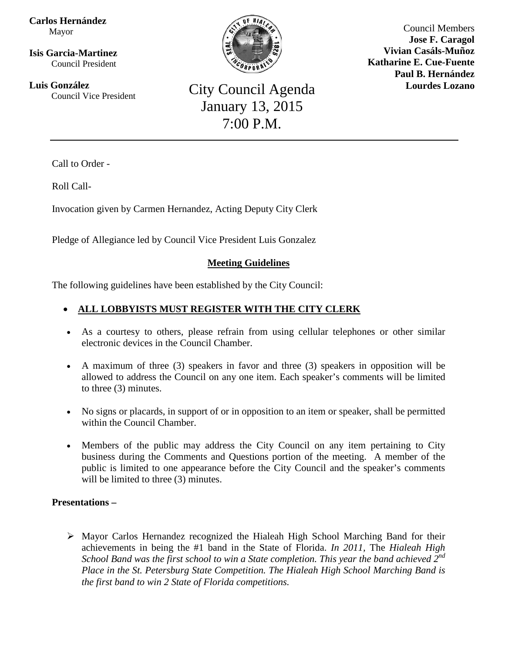**Carlos Hernández** Mayor

**Isis Garcia-Martinez** Council President

 $\overline{a}$ **Luis González**



Council Members **Jose F. Caragol Vivian Casáls-Muñoz Katharine E. Cue-Fuente Paul B. Hernández Lourdes Lozano**

**Council Agenda**<br> **City Council Agenda** January 13, 2015 7:00 P.M.

Call to Order -

Roll Call-

Invocation given by Carmen Hernandez, Acting Deputy City Clerk

Pledge of Allegiance led by Council Vice President Luis Gonzalez

# **Meeting Guidelines**

The following guidelines have been established by the City Council:

## • **ALL LOBBYISTS MUST REGISTER WITH THE CITY CLERK**

- As a courtesy to others, please refrain from using cellular telephones or other similar electronic devices in the Council Chamber.
- A maximum of three (3) speakers in favor and three (3) speakers in opposition will be allowed to address the Council on any one item. Each speaker's comments will be limited to three (3) minutes.
- No signs or placards, in support of or in opposition to an item or speaker, shall be permitted within the Council Chamber.
- Members of the public may address the City Council on any item pertaining to City business during the Comments and Questions portion of the meeting. A member of the public is limited to one appearance before the City Council and the speaker's comments will be limited to three  $(3)$  minutes.

## **Presentations –**

 $\triangleright$  Mayor Carlos Hernandez recognized the Hialeah High School Marching Band for their achievements in being the #1 band in the State of Florida. *In 2011,* The *Hialeah High School Band was the first school to win a State completion. This year the band achieved 2nd Place in the St. Petersburg State Competition. The Hialeah High School Marching Band is the first band to win 2 State of Florida competitions.*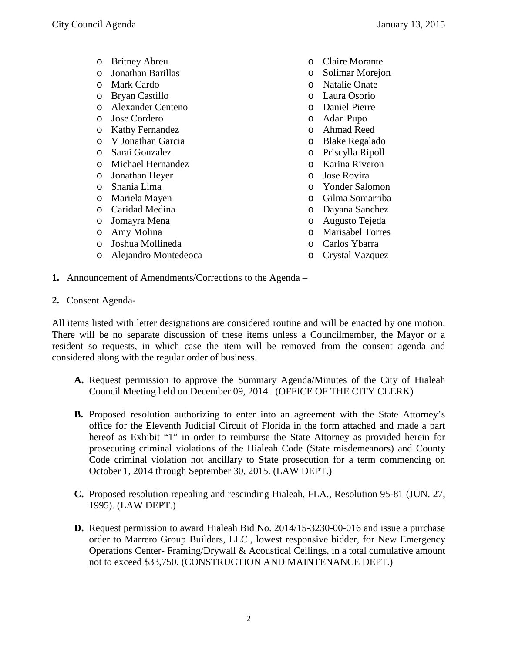- o Britney Abreu
- o Jonathan Barillas
- o Mark Cardo
- o Bryan Castillo
- o Alexander Centeno
- o Jose Cordero
- o Kathy Fernandez
- o V Jonathan Garcia
- o Sarai Gonzalez
- o Michael Hernandez
- o Jonathan Heyer
- o Shania Lima
- o Mariela Mayen
- o Caridad Medina
- o Jomayra Mena
- o Amy Molina
- o Joshua Mollineda
- o Alejandro Montedeoca
- o Claire Morante
- o Solimar Morejon
- Natalie Onate
- o Laura Osorio
- o Daniel Pierre
- o Adan Pupo
- o Ahmad Reed
- o Blake Regalado
- o Priscylla Ripoll
- o Karina Riveron
- o Jose Rovira
- o Yonder Salomon
- Gilma Somarriba
- o Dayana Sanchez
- o Augusto Tejeda
- o Marisabel Torres
- o Carlos Ybarra
- o Crystal Vazquez

**1.** Announcement of Amendments/Corrections to the Agenda –

**2.** Consent Agenda-

All items listed with letter designations are considered routine and will be enacted by one motion. There will be no separate discussion of these items unless a Councilmember, the Mayor or a resident so requests, in which case the item will be removed from the consent agenda and considered along with the regular order of business.

- **A.** Request permission to approve the Summary Agenda/Minutes of the City of Hialeah Council Meeting held on December 09, 2014. (OFFICE OF THE CITY CLERK)
- **B.** Proposed resolution authorizing to enter into an agreement with the State Attorney's office for the Eleventh Judicial Circuit of Florida in the form attached and made a part hereof as Exhibit "1" in order to reimburse the State Attorney as provided herein for prosecuting criminal violations of the Hialeah Code (State misdemeanors) and County Code criminal violation not ancillary to State prosecution for a term commencing on October 1, 2014 through September 30, 2015. (LAW DEPT.)
- **C.** Proposed resolution repealing and rescinding Hialeah, FLA., Resolution 95-81 (JUN. 27, 1995). (LAW DEPT.)
- **D.** Request permission to award Hialeah Bid No. 2014/15-3230-00-016 and issue a purchase order to Marrero Group Builders, LLC., lowest responsive bidder, for New Emergency Operations Center- Framing/Drywall & Acoustical Ceilings, in a total cumulative amount not to exceed \$33,750. (CONSTRUCTION AND MAINTENANCE DEPT.)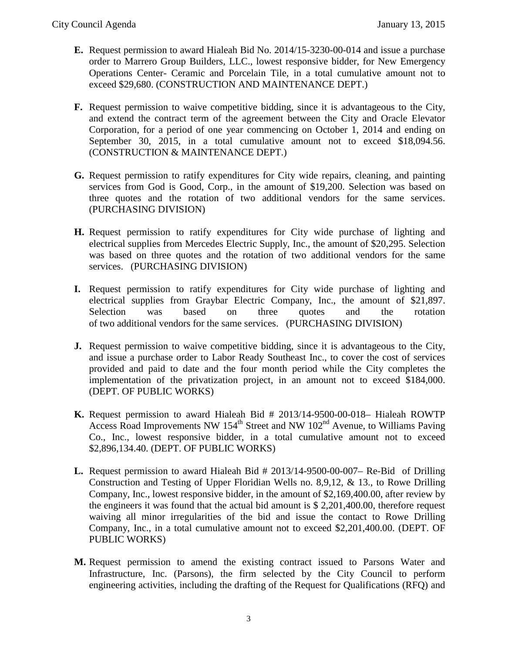- **E.** Request permission to award Hialeah Bid No. 2014/15-3230-00-014 and issue a purchase order to Marrero Group Builders, LLC., lowest responsive bidder, for New Emergency Operations Center- Ceramic and Porcelain Tile, in a total cumulative amount not to exceed \$29,680. (CONSTRUCTION AND MAINTENANCE DEPT.)
- **F.** Request permission to waive competitive bidding, since it is advantageous to the City, and extend the contract term of the agreement between the City and Oracle Elevator Corporation, for a period of one year commencing on October 1, 2014 and ending on September 30, 2015, in a total cumulative amount not to exceed \$18,094.56. (CONSTRUCTION & MAINTENANCE DEPT.)
- **G.** Request permission to ratify expenditures for City wide repairs, cleaning, and painting services from God is Good, Corp., in the amount of \$19,200. Selection was based on three quotes and the rotation of two additional vendors for the same services. (PURCHASING DIVISION)
- **H.** Request permission to ratify expenditures for City wide purchase of lighting and electrical supplies from Mercedes Electric Supply, Inc., the amount of \$20,295. Selection was based on three quotes and the rotation of two additional vendors for the same services. (PURCHASING DIVISION)
- **I.** Request permission to ratify expenditures for City wide purchase of lighting and electrical supplies from Graybar Electric Company, Inc., the amount of \$21,897. Selection was based on three quotes and the rotation of two additional vendors for the same services. (PURCHASING DIVISION)
- **J.** Request permission to waive competitive bidding, since it is advantageous to the City, and issue a purchase order to Labor Ready Southeast Inc., to cover the cost of services provided and paid to date and the four month period while the City completes the implementation of the privatization project, in an amount not to exceed \$184,000. (DEPT. OF PUBLIC WORKS)
- **K.** Request permission to award Hialeah Bid # 2013/14-9500-00-018– Hialeah ROWTP Access Road Improvements NW  $154<sup>th</sup>$  Street and NW  $102<sup>nd</sup>$  Avenue, to Williams Paving Co., Inc., lowest responsive bidder, in a total cumulative amount not to exceed \$2,896,134.40. (DEPT. OF PUBLIC WORKS)
- **L.** Request permission to award Hialeah Bid # 2013/14-9500-00-007– Re-Bid of Drilling Construction and Testing of Upper Floridian Wells no. 8,9,12, & 13., to Rowe Drilling Company, Inc., lowest responsive bidder, in the amount of \$2,169,400.00, after review by the engineers it was found that the actual bid amount is \$ 2,201,400.00, therefore request waiving all minor irregularities of the bid and issue the contact to Rowe Drilling Company, Inc., in a total cumulative amount not to exceed \$2,201,400.00. (DEPT. OF PUBLIC WORKS)
- **M.** Request permission to amend the existing contract issued to Parsons Water and Infrastructure, Inc. (Parsons), the firm selected by the City Council to perform engineering activities, including the drafting of the Request for Qualifications (RFQ) and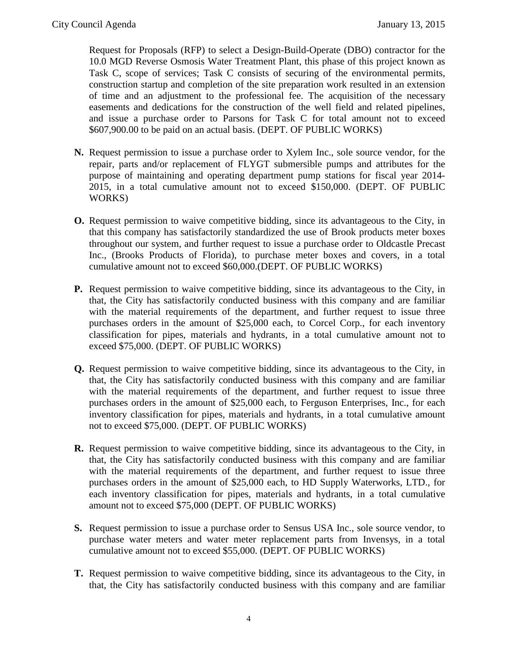Request for Proposals (RFP) to select a Design-Build-Operate (DBO) contractor for the 10.0 MGD Reverse Osmosis Water Treatment Plant, this phase of this project known as Task C, scope of services; Task C consists of securing of the environmental permits, construction startup and completion of the site preparation work resulted in an extension of time and an adjustment to the professional fee. The acquisition of the necessary easements and dedications for the construction of the well field and related pipelines, and issue a purchase order to Parsons for Task C for total amount not to exceed \$607,900.00 to be paid on an actual basis. (DEPT. OF PUBLIC WORKS)

- **N.** Request permission to issue a purchase order to Xylem Inc., sole source vendor, for the repair, parts and/or replacement of FLYGT submersible pumps and attributes for the purpose of maintaining and operating department pump stations for fiscal year 2014- 2015, in a total cumulative amount not to exceed \$150,000. (DEPT. OF PUBLIC WORKS)
- **O.** Request permission to waive competitive bidding, since its advantageous to the City, in that this company has satisfactorily standardized the use of Brook products meter boxes throughout our system, and further request to issue a purchase order to Oldcastle Precast Inc., (Brooks Products of Florida), to purchase meter boxes and covers, in a total cumulative amount not to exceed \$60,000.(DEPT. OF PUBLIC WORKS)
- **P.** Request permission to waive competitive bidding, since its advantageous to the City, in that, the City has satisfactorily conducted business with this company and are familiar with the material requirements of the department, and further request to issue three purchases orders in the amount of \$25,000 each, to Corcel Corp., for each inventory classification for pipes, materials and hydrants, in a total cumulative amount not to exceed \$75,000. (DEPT. OF PUBLIC WORKS)
- **Q.** Request permission to waive competitive bidding, since its advantageous to the City, in that, the City has satisfactorily conducted business with this company and are familiar with the material requirements of the department, and further request to issue three purchases orders in the amount of \$25,000 each, to Ferguson Enterprises, Inc., for each inventory classification for pipes, materials and hydrants, in a total cumulative amount not to exceed \$75,000. (DEPT. OF PUBLIC WORKS)
- **R.** Request permission to waive competitive bidding, since its advantageous to the City, in that, the City has satisfactorily conducted business with this company and are familiar with the material requirements of the department, and further request to issue three purchases orders in the amount of \$25,000 each, to HD Supply Waterworks, LTD., for each inventory classification for pipes, materials and hydrants, in a total cumulative amount not to exceed \$75,000 (DEPT. OF PUBLIC WORKS)
- **S.** Request permission to issue a purchase order to Sensus USA Inc., sole source vendor, to purchase water meters and water meter replacement parts from Invensys, in a total cumulative amount not to exceed \$55,000. (DEPT. OF PUBLIC WORKS)
- **T.** Request permission to waive competitive bidding, since its advantageous to the City, in that, the City has satisfactorily conducted business with this company and are familiar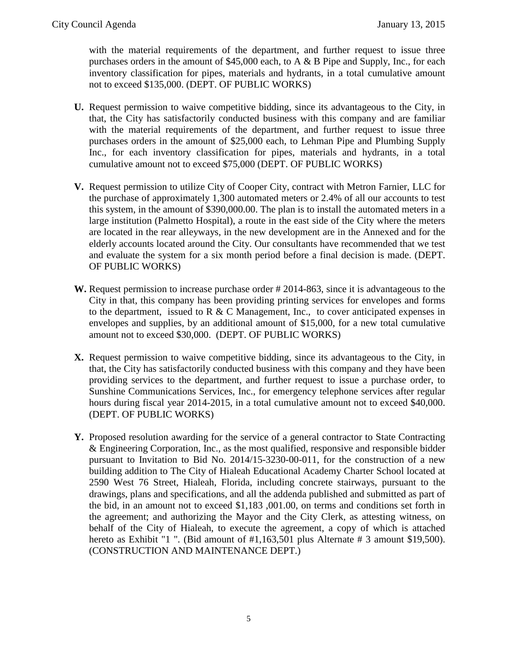with the material requirements of the department, and further request to issue three purchases orders in the amount of \$45,000 each, to A & B Pipe and Supply, Inc., for each inventory classification for pipes, materials and hydrants, in a total cumulative amount not to exceed \$135,000. (DEPT. OF PUBLIC WORKS)

- **U.** Request permission to waive competitive bidding, since its advantageous to the City, in that, the City has satisfactorily conducted business with this company and are familiar with the material requirements of the department, and further request to issue three purchases orders in the amount of \$25,000 each, to Lehman Pipe and Plumbing Supply Inc., for each inventory classification for pipes, materials and hydrants, in a total cumulative amount not to exceed \$75,000 (DEPT. OF PUBLIC WORKS)
- **V.** Request permission to utilize City of Cooper City, contract with Metron Farnier, LLC for the purchase of approximately 1,300 automated meters or 2.4% of all our accounts to test this system, in the amount of \$390,000.00. The plan is to install the automated meters in a large institution (Palmetto Hospital), a route in the east side of the City where the meters are located in the rear alleyways, in the new development are in the Annexed and for the elderly accounts located around the City. Our consultants have recommended that we test and evaluate the system for a six month period before a final decision is made. (DEPT. OF PUBLIC WORKS)
- **W.** Request permission to increase purchase order # 2014-863, since it is advantageous to the City in that, this company has been providing printing services for envelopes and forms to the department, issued to R & C Management, Inc., to cover anticipated expenses in envelopes and supplies, by an additional amount of \$15,000, for a new total cumulative amount not to exceed \$30,000. (DEPT. OF PUBLIC WORKS)
- **X.** Request permission to waive competitive bidding, since its advantageous to the City, in that, the City has satisfactorily conducted business with this company and they have been providing services to the department, and further request to issue a purchase order, to Sunshine Communications Services, Inc., for emergency telephone services after regular hours during fiscal year 2014-2015, in a total cumulative amount not to exceed \$40,000. (DEPT. OF PUBLIC WORKS)
- **Y.** Proposed resolution awarding for the service of a general contractor to State Contracting & Engineering Corporation, Inc., as the most qualified, responsive and responsible bidder pursuant to Invitation to Bid No. 2014/15-3230-00-011, for the construction of a new building addition to The City of Hialeah Educational Academy Charter School located at 2590 West 76 Street, Hialeah, Florida, including concrete stairways, pursuant to the drawings, plans and specifications, and all the addenda published and submitted as part of the bid, in an amount not to exceed \$1,183 ,001.00, on terms and conditions set forth in the agreement; and authorizing the Mayor and the City Clerk, as attesting witness, on behalf of the City of Hialeah, to execute the agreement, a copy of which is attached hereto as Exhibit "1 ". (Bid amount of #1,163,501 plus Alternate # 3 amount \$19,500). (CONSTRUCTION AND MAINTENANCE DEPT.)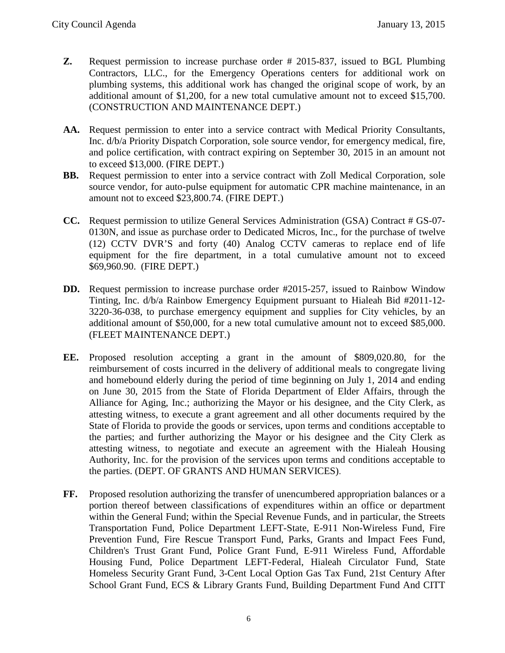- **Z.** Request permission to increase purchase order # 2015-837, issued to BGL Plumbing Contractors, LLC., for the Emergency Operations centers for additional work on plumbing systems, this additional work has changed the original scope of work, by an additional amount of \$1,200, for a new total cumulative amount not to exceed \$15,700. (CONSTRUCTION AND MAINTENANCE DEPT.)
- **AA.** Request permission to enter into a service contract with Medical Priority Consultants, Inc. d/b/a Priority Dispatch Corporation, sole source vendor, for emergency medical, fire, and police certification, with contract expiring on September 30, 2015 in an amount not to exceed \$13,000. (FIRE DEPT.)
- **BB.** Request permission to enter into a service contract with Zoll Medical Corporation, sole source vendor, for auto-pulse equipment for automatic CPR machine maintenance, in an amount not to exceed \$23,800.74. (FIRE DEPT.)
- **CC.** Request permission to utilize General Services Administration (GSA) Contract # GS-07- 0130N, and issue as purchase order to Dedicated Micros, Inc., for the purchase of twelve (12) CCTV DVR'S and forty (40) Analog CCTV cameras to replace end of life equipment for the fire department, in a total cumulative amount not to exceed \$69,960.90. (FIRE DEPT.)
- **DD.** Request permission to increase purchase order #2015-257, issued to Rainbow Window Tinting, Inc. d/b/a Rainbow Emergency Equipment pursuant to Hialeah Bid #2011-12- 3220-36-038, to purchase emergency equipment and supplies for City vehicles, by an additional amount of \$50,000, for a new total cumulative amount not to exceed \$85,000. (FLEET MAINTENANCE DEPT.)
- **EE.** Proposed resolution accepting a grant in the amount of \$809,020.80, for the reimbursement of costs incurred in the delivery of additional meals to congregate living and homebound elderly during the period of time beginning on July 1, 2014 and ending on June 30, 2015 from the State of Florida Department of Elder Affairs, through the Alliance for Aging, Inc.; authorizing the Mayor or his designee, and the City Clerk, as attesting witness, to execute a grant agreement and all other documents required by the State of Florida to provide the goods or services, upon terms and conditions acceptable to the parties; and further authorizing the Mayor or his designee and the City Clerk as attesting witness, to negotiate and execute an agreement with the Hialeah Housing Authority, Inc. for the provision of the services upon terms and conditions acceptable to the parties. (DEPT. OF GRANTS AND HUMAN SERVICES).
- **FF.** Proposed resolution authorizing the transfer of unencumbered appropriation balances or a portion thereof between classifications of expenditures within an office or department within the General Fund; within the Special Revenue Funds, and in particular, the Streets Transportation Fund, Police Department LEFT-State, E-911 Non-Wireless Fund, Fire Prevention Fund, Fire Rescue Transport Fund, Parks, Grants and Impact Fees Fund, Children's Trust Grant Fund, Police Grant Fund, E-911 Wireless Fund, Affordable Housing Fund, Police Department LEFT-Federal, Hialeah Circulator Fund, State Homeless Security Grant Fund, 3-Cent Local Option Gas Tax Fund, 21st Century After School Grant Fund, ECS & Library Grants Fund, Building Department Fund And CITT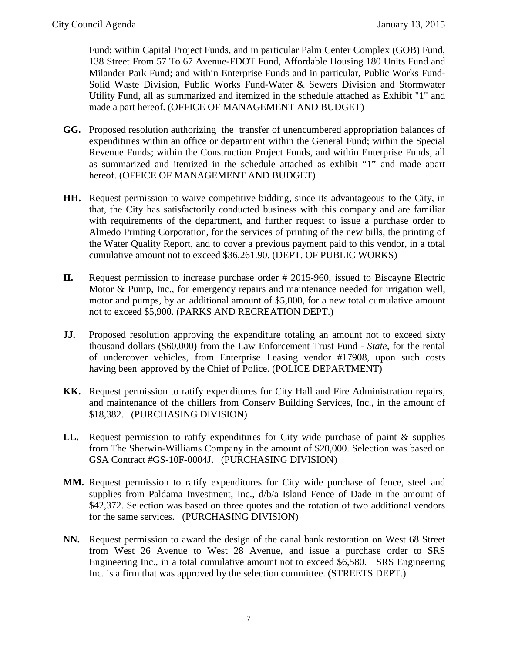Fund; within Capital Project Funds, and in particular Palm Center Complex (GOB) Fund, 138 Street From 57 To 67 Avenue-FDOT Fund, Affordable Housing 180 Units Fund and Milander Park Fund; and within Enterprise Funds and in particular, Public Works Fund-Solid Waste Division, Public Works Fund-Water & Sewers Division and Stormwater Utility Fund, all as summarized and itemized in the schedule attached as Exhibit "1" and made a part hereof. (OFFICE OF MANAGEMENT AND BUDGET)

- **GG.** Proposed resolution authorizing the transfer of unencumbered appropriation balances of expenditures within an office or department within the General Fund; within the Special Revenue Funds; within the Construction Project Funds, and within Enterprise Funds, all as summarized and itemized in the schedule attached as exhibit "1" and made apart hereof. (OFFICE OF MANAGEMENT AND BUDGET)
- **HH.** Request permission to waive competitive bidding, since its advantageous to the City, in that, the City has satisfactorily conducted business with this company and are familiar with requirements of the department, and further request to issue a purchase order to Almedo Printing Corporation, for the services of printing of the new bills, the printing of the Water Quality Report, and to cover a previous payment paid to this vendor, in a total cumulative amount not to exceed \$36,261.90. (DEPT. OF PUBLIC WORKS)
- **II.** Request permission to increase purchase order # 2015-960, issued to Biscayne Electric Motor & Pump, Inc., for emergency repairs and maintenance needed for irrigation well, motor and pumps, by an additional amount of \$5,000, for a new total cumulative amount not to exceed \$5,900. (PARKS AND RECREATION DEPT.)
- **JJ.** Proposed resolution approving the expenditure totaling an amount not to exceed sixty thousand dollars (\$60,000) from the Law Enforcement Trust Fund - *State,* for the rental of undercover vehicles, from Enterprise Leasing vendor #17908, upon such costs having been approved by the Chief of Police. (POLICE DEPARTMENT)
- **KK.** Request permission to ratify expenditures for City Hall and Fire Administration repairs, and maintenance of the chillers from Conserv Building Services, Inc., in the amount of \$18,382. (PURCHASING DIVISION)
- LL. Request permission to ratify expenditures for City wide purchase of paint & supplies from The Sherwin-Williams Company in the amount of \$20,000. Selection was based on GSA Contract #GS-10F-0004J. (PURCHASING DIVISION)
- **MM.** Request permission to ratify expenditures for City wide purchase of fence, steel and supplies from Paldama Investment, Inc., d/b/a Island Fence of Dade in the amount of \$42,372. Selection was based on three quotes and the rotation of two additional vendors for the same services. (PURCHASING DIVISION)
- **NN.** Request permission to award the design of the canal bank restoration on West 68 Street from West 26 Avenue to West 28 Avenue, and issue a purchase order to SRS Engineering Inc., in a total cumulative amount not to exceed \$6,580. SRS Engineering Inc. is a firm that was approved by the selection committee. (STREETS DEPT.)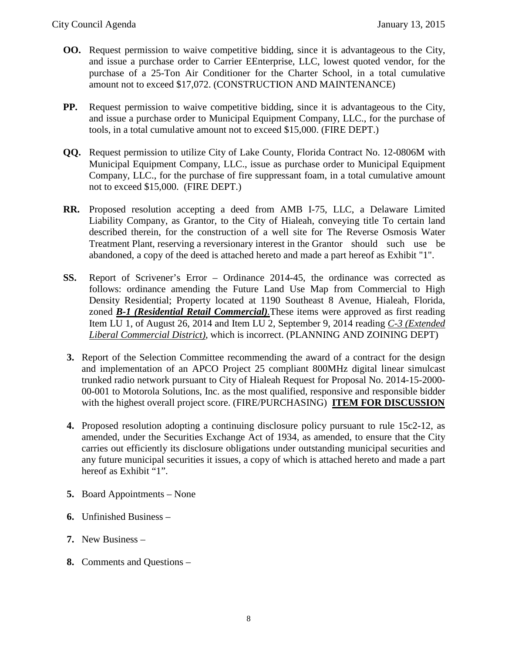- **OO.** Request permission to waive competitive bidding, since it is advantageous to the City, and issue a purchase order to Carrier EEnterprise, LLC, lowest quoted vendor, for the purchase of a 25-Ton Air Conditioner for the Charter School, in a total cumulative amount not to exceed \$17,072. (CONSTRUCTION AND MAINTENANCE)
- **PP.** Request permission to waive competitive bidding, since it is advantageous to the City, and issue a purchase order to Municipal Equipment Company, LLC., for the purchase of tools, in a total cumulative amount not to exceed \$15,000. (FIRE DEPT.)
- **QQ.** Request permission to utilize City of Lake County, Florida Contract No. 12-0806M with Municipal Equipment Company, LLC., issue as purchase order to Municipal Equipment Company, LLC., for the purchase of fire suppressant foam, in a total cumulative amount not to exceed \$15,000. (FIRE DEPT.)
- **RR.** Proposed resolution accepting a deed from AMB I-75, LLC, a Delaware Limited Liability Company, as Grantor, to the City of Hialeah, conveying title To certain land described therein, for the construction of a well site for The Reverse Osmosis Water Treatment Plant, reserving a reversionary interest in the Grantor should such use be abandoned, a copy of the deed is attached hereto and made a part hereof as Exhibit "1".
- **SS.** Report of Scrivener's Error Ordinance 2014-45, the ordinance was corrected as follows: ordinance amending the Future Land Use Map from Commercial to High Density Residential; Property located at 1190 Southeast 8 Avenue, Hialeah, Florida, zoned *B-1 (Residential Retail Commercial).*These items were approved as first reading Item LU 1, of August 26, 2014 and Item LU 2, September 9, 2014 reading *C-3 (Extended Liberal Commercial District)*, which is incorrect. (PLANNING AND ZOINING DEPT)
- **3.** Report of the Selection Committee recommending the award of a contract for the design and implementation of an APCO Project 25 compliant 800MHz digital linear simulcast trunked radio network pursuant to City of Hialeah Request for Proposal No. 2014-15-2000- 00-001 to Motorola Solutions, Inc. as the most qualified, responsive and responsible bidder with the highest overall project score. (FIRE/PURCHASING) **ITEM FOR DISCUSSION**
- **4.** Proposed resolution adopting a continuing disclosure policy pursuant to rule 15c2-12, as amended, under the Securities Exchange Act of 1934, as amended, to ensure that the City carries out efficiently its disclosure obligations under outstanding municipal securities and any future municipal securities it issues, a copy of which is attached hereto and made a part hereof as Exhibit "1".
- **5.** Board Appointments None
- **6.** Unfinished Business –
- **7.** New Business –
- **8.** Comments and Questions –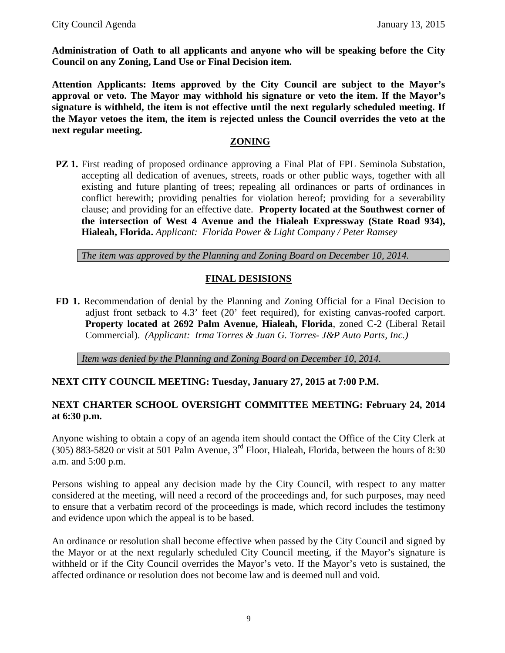**Administration of Oath to all applicants and anyone who will be speaking before the City Council on any Zoning, Land Use or Final Decision item.** 

**Attention Applicants: Items approved by the City Council are subject to the Mayor's approval or veto. The Mayor may withhold his signature or veto the item. If the Mayor's signature is withheld, the item is not effective until the next regularly scheduled meeting. If the Mayor vetoes the item, the item is rejected unless the Council overrides the veto at the next regular meeting.**

#### **ZONING**

**PZ 1.** First reading of proposed ordinance approving a Final Plat of FPL Seminola Substation, accepting all dedication of avenues, streets, roads or other public ways, together with all existing and future planting of trees; repealing all ordinances or parts of ordinances in conflict herewith; providing penalties for violation hereof; providing for a severability clause; and providing for an effective date. **Property located at the Southwest corner of the intersection of West 4 Avenue and the Hialeah Expressway (State Road 934), Hialeah, Florida.** *Applicant: Florida Power & Light Company / Peter Ramsey*

*The item was approved by the Planning and Zoning Board on December 10, 2014.*

## **FINAL DESISIONS**

**FD 1.** Recommendation of denial by the Planning and Zoning Official for a Final Decision to adjust front setback to 4.3' feet (20' feet required), for existing canvas-roofed carport. **Property located at 2692 Palm Avenue, Hialeah, Florida**, zoned C-2 (Liberal Retail Commercial). *(Applicant: Irma Torres & Juan G. Torres- J&P Auto Parts, Inc.)*

*Item was denied by the Planning and Zoning Board on December 10, 2014.*

## **NEXT CITY COUNCIL MEETING: Tuesday, January 27, 2015 at 7:00 P.M.**

## **NEXT CHARTER SCHOOL OVERSIGHT COMMITTEE MEETING: February 24, 2014 at 6:30 p.m.**

Anyone wishing to obtain a copy of an agenda item should contact the Office of the City Clerk at (305) 883-5820 or visit at 501 Palm Avenue,  $3<sup>rd</sup>$  Floor, Hialeah, Florida, between the hours of 8:30 a.m. and 5:00 p.m.

Persons wishing to appeal any decision made by the City Council, with respect to any matter considered at the meeting, will need a record of the proceedings and, for such purposes, may need to ensure that a verbatim record of the proceedings is made, which record includes the testimony and evidence upon which the appeal is to be based.

An ordinance or resolution shall become effective when passed by the City Council and signed by the Mayor or at the next regularly scheduled City Council meeting, if the Mayor's signature is withheld or if the City Council overrides the Mayor's veto. If the Mayor's veto is sustained, the affected ordinance or resolution does not become law and is deemed null and void.